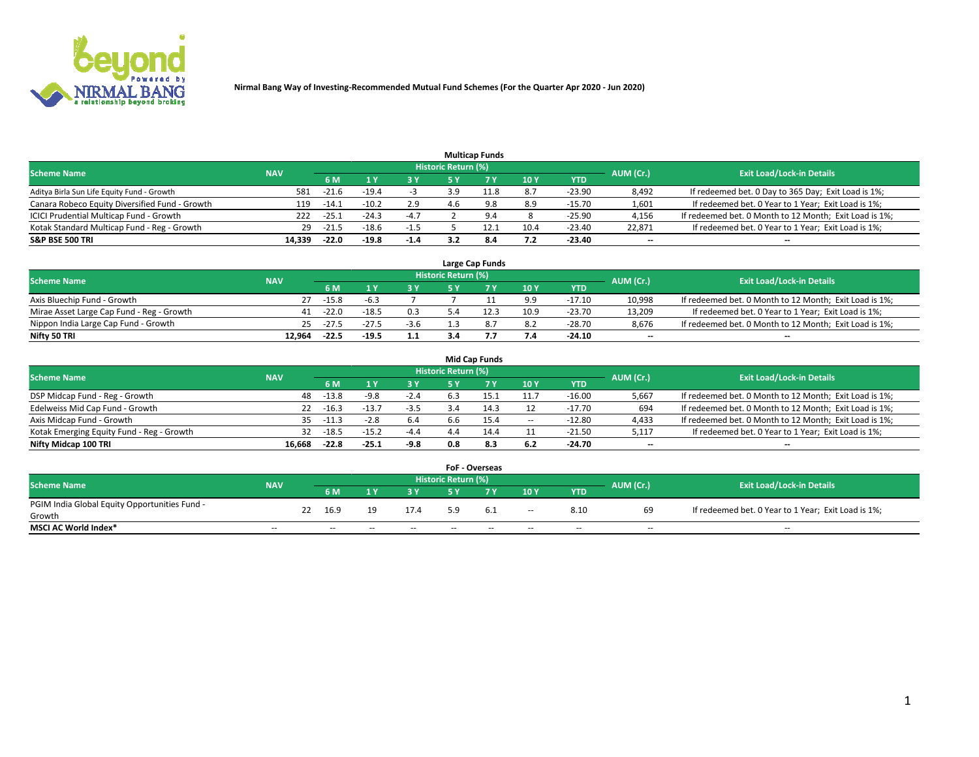

|                                                |            |         |         |            |                     | <b>Multicap Funds</b> |           |                                  |                          |                                                        |
|------------------------------------------------|------------|---------|---------|------------|---------------------|-----------------------|-----------|----------------------------------|--------------------------|--------------------------------------------------------|
| <b>Scheme Name</b>                             | <b>NAV</b> |         |         |            | Historic Return (%) |                       | AUM (Cr.) | <b>Exit Load/Lock-in Details</b> |                          |                                                        |
|                                                |            | 6 M     |         | <b>3 Y</b> | 5 Y                 |                       | 10Y       | YTD                              |                          |                                                        |
| Aditya Birla Sun Life Equity Fund - Growth     | 581        | $-21.6$ | $-19.4$ |            | 3.9                 | 11.8                  | 8.7       | $-23.90$                         | 8,492                    | If redeemed bet. 0 Day to 365 Day; Exit Load is 1%;    |
| Canara Robeco Equity Diversified Fund - Growth | 119        | $-14.1$ | $-10.2$ | 2.9        |                     | 9.8                   | 8.9       | $-15.70$                         | 1,601                    | If redeemed bet. 0 Year to 1 Year; Exit Load is 1%;    |
| ICICI Prudential Multicap Fund - Growth        | 222        | -25.⊥   | $-24.3$ | $-4.7$     |                     | 9.4                   |           | $-25.90$                         | 4,156                    | If redeemed bet. 0 Month to 12 Month; Exit Load is 1%; |
| Kotak Standard Multicap Fund - Reg - Growth    | 29         | $-21.5$ | $-18.6$ | $-1.5$     |                     |                       | 10.4      | $-23.40$                         | 22.871                   | If redeemed bet. 0 Year to 1 Year; Exit Load is 1%;    |
| <b>S&amp;P BSE 500 TRI</b>                     | 14.339     | $-22.0$ | $-19.8$ | $-1.4$     |                     | 8.4                   | 7.2       | $-23.40$                         | $\overline{\phantom{a}}$ | --                                                     |

|                                           |            |           |                                  |        |    | Large Cap Funds |      |            |        |                                                        |
|-------------------------------------------|------------|-----------|----------------------------------|--------|----|-----------------|------|------------|--------|--------------------------------------------------------|
| <b>Scheme Name</b>                        | <b>NAV</b> | AUM (Cr.) | <b>Exit Load/Lock-in Details</b> |        |    |                 |      |            |        |                                                        |
|                                           |            | 6 M       |                                  | 2 V.   | ςv |                 | 10Y  | <b>YTD</b> |        |                                                        |
| Axis Bluechip Fund - Growth               |            | $-15.8$   | -b.3                             |        |    |                 | 9.9  | $-17.10$   | 10,998 | If redeemed bet. 0 Month to 12 Month; Exit Load is 1%; |
| Mirae Asset Large Cap Fund - Reg - Growth | 41         | $-22.0$   | $-18.5$                          | 0.3    |    | 12.3            | 10.9 | $-23.70$   | 13,209 | If redeemed bet. 0 Year to 1 Year; Exit Load is 1%;    |
| Nippon India Large Cap Fund - Growth      | 25.        | $-27.5$   | $-27.5$                          | $-3.6$ |    | 8.7             | 8.2  | $-28.70$   | 8.676  | If redeemed bet. 0 Month to 12 Month; Exit Load is 1%; |
| Nifty 50 TRI                              | 12.964     | $-22.5$   | $-19.5$                          | 1.1    |    |                 | 7.4  | $-24.10$   | --     | $- -$                                                  |

|                                           |            |         |         |        |                            | <b>Mid Cap Funds</b> |        |            |                          |                                                        |
|-------------------------------------------|------------|---------|---------|--------|----------------------------|----------------------|--------|------------|--------------------------|--------------------------------------------------------|
| <b>Scheme Name</b>                        | <b>NAV</b> |         |         |        | <b>Historic Return (%)</b> |                      |        |            | AUM (Cr.)                | <b>Exit Load/Lock-in Details</b>                       |
|                                           |            | 6 M     |         | 3 Y    | 5 Y                        |                      | 10 Y   | <b>YTD</b> |                          |                                                        |
| DSP Midcap Fund - Reg - Growth            | 48         | $-13.8$ | -9.8    | $-2.4$ | 6.5                        | 15.                  | 11.7   | $-16.00$   | 5,667                    | If redeemed bet. 0 Month to 12 Month; Exit Load is 1%; |
| Edelweiss Mid Cap Fund - Growth           | 22         | $-16.3$ | $-13.7$ | $-3.5$ |                            | 14.3                 |        | $-17.70$   | 694                      | If redeemed bet. 0 Month to 12 Month; Exit Load is 1%; |
| Axis Midcap Fund - Growth                 | 35.        | $-11.3$ | $-2.8$  | 6.4    | 6.6                        | 15.4                 | $\sim$ | $-12.80$   | 4,433                    | If redeemed bet. 0 Month to 12 Month; Exit Load is 1%; |
| Kotak Emerging Equity Fund - Reg - Growth | 32         | $-18.5$ | $-15.2$ | $-4.4$ |                            | 14.4                 | 11     | $-21.50$   | 5,117                    | If redeemed bet. 0 Year to 1 Year; Exit Load is 1%;    |
| Nifty Midcap 100 TRI                      | 16.668     | $-22.8$ | $-25.1$ | -9.8   | 0.8                        | 8.3                  | 6.2    | -24.70     | $\overline{\phantom{a}}$ | $- -$                                                  |

|                                               |                          |    |        |       |       |                            | <b>FoF - Overseas</b> |                          |            |                          |                                                     |
|-----------------------------------------------|--------------------------|----|--------|-------|-------|----------------------------|-----------------------|--------------------------|------------|--------------------------|-----------------------------------------------------|
| <b>Scheme Name</b>                            | <b>NAV</b>               |    |        |       |       | <b>Historic Return (%)</b> |                       |                          |            | AUM (Cr.)                | <b>Exit Load/Lock-in Details</b>                    |
|                                               |                          |    | 6 M    |       | 2 V.  | E V                        |                       | 10Y                      | <b>YTD</b> |                          |                                                     |
| PGIM India Global Equity Opportunities Fund - |                          | 22 | 16.9   | 19    | 17.4  |                            | 6.1                   |                          | 8.10       | 69                       | If redeemed bet. 0 Year to 1 Year; Exit Load is 1%; |
| Growth                                        |                          |    |        |       |       |                            |                       | $\overline{\phantom{a}}$ |            |                          |                                                     |
| <b>MSCI AC World Index*</b>                   | $\overline{\phantom{a}}$ |    | $\sim$ | $- -$ | $- -$ | $\sim$                     | $- -$                 | $\overline{\phantom{a}}$ | $\sim$     | $\overline{\phantom{m}}$ | $\sim$                                              |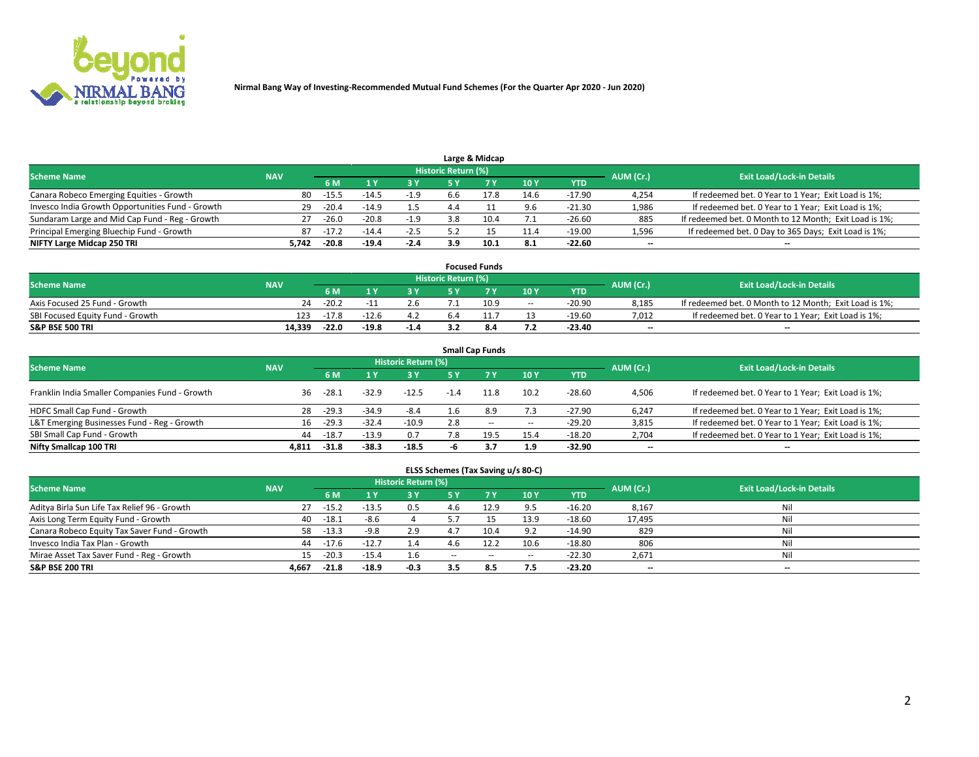

|                                                  |            |         |         |        |                     | Large & Midcap |      |            |           |                                                        |
|--------------------------------------------------|------------|---------|---------|--------|---------------------|----------------|------|------------|-----------|--------------------------------------------------------|
| <b>Scheme Name</b>                               | <b>NAV</b> |         |         |        | Historic Return (%) |                |      |            | AUM (Cr.) | <b>Exit Load/Lock-in Details</b>                       |
|                                                  |            | 6 M     |         | 3 Y    | 5 Y                 |                | 10Y  | <b>YTD</b> |           |                                                        |
| Canara Robeco Emerging Equities - Growth         | 80         | $-15.5$ | -14.⊥   | $-1.9$ | b.b                 | 17.8           | 14.6 | $-17.90$   | 4,254     | If redeemed bet. 0 Year to 1 Year; Exit Load is 1%;    |
| Invesco India Growth Opportunities Fund - Growth | 29         | $-20.4$ | $-14.9$ | 1.5    | 4.4                 |                | 9.6  | $-21.30$   | 1,986     | If redeemed bet. 0 Year to 1 Year; Exit Load is 1%;    |
| Sundaram Large and Mid Cap Fund - Reg - Growth   | 27         | $-26.0$ | $-20.8$ | $-1.9$ | 3.8                 | 10.4           |      | $-26.60$   | 885       | If redeemed bet. 0 Month to 12 Month; Exit Load is 1%; |
| Principal Emerging Bluechip Fund - Growth        | 87         | $-17.2$ | $-14.4$ | $-2.5$ |                     |                | 11.4 | $-19.00$   | 1,596     | If redeemed bet. 0 Day to 365 Days; Exit Load is 1%;   |
| NIFTY Large Midcap 250 TRI                       | 5.742      | $-20.8$ | $-19.4$ | $-2.4$ | 3.9                 | 10.1           | 8.1  | -22.60     | $- -$     | --                                                     |

|                                  |            |         |         |        |                     | <b>Focused Funds</b> |        |            |           |                                                        |
|----------------------------------|------------|---------|---------|--------|---------------------|----------------------|--------|------------|-----------|--------------------------------------------------------|
| <b>Scheme Name</b>               | <b>NAV</b> |         |         |        | Historic Return (%) |                      |        |            | AUM (Cr.) | <b>Exit Load/Lock-in Details</b>                       |
|                                  |            | 6 M     |         |        |                     |                      | 10Y    | <b>YTD</b> |           |                                                        |
| Axis Focused 25 Fund - Growth    | 24         | $-20.2$ |         |        |                     | 10.9                 | $\sim$ | $-20.90$   | 8.185     | If redeemed bet. 0 Month to 12 Month; Exit Load is 1%; |
| SBI Focused Equity Fund - Growth | 123        | $-17.8$ | $-12.6$ |        | 6.4                 |                      |        | $-19.60$   | 7,012     | If redeemed bet. 0 Year to 1 Year; Exit Load is 1%;    |
| <b>S&amp;P BSE 500 TRI</b>       | 14.339     | $-22.0$ | $-19.8$ | $-1.4$ |                     | 8.4                  | 7.2    | -23.40     | $- -$     | $-$                                                    |

| <b>Small Cap Funds</b>                         |            |         |         |                            |        |           |       |            |                          |                                                     |  |  |  |
|------------------------------------------------|------------|---------|---------|----------------------------|--------|-----------|-------|------------|--------------------------|-----------------------------------------------------|--|--|--|
| <b>Scheme Name</b>                             | <b>NAV</b> |         |         | <b>Historic Return (%)</b> |        |           |       |            | AUM (Cr.)                | <b>Exit Load/Lock-in Details</b>                    |  |  |  |
|                                                |            | 6 M     |         | 3 Y                        | 5 Y    | <b>7Y</b> | 10Y   | <b>YTD</b> |                          |                                                     |  |  |  |
| Franklin India Smaller Companies Fund - Growth | 36         | -28.1   | $-32.9$ | $-12.5$                    | $-1.4$ | 11.8      | 10.2  | $-28.60$   | 4,506                    | If redeemed bet. 0 Year to 1 Year; Exit Load is 1%; |  |  |  |
| HDFC Small Cap Fund - Growth                   | 28         | $-29.3$ | $-34.9$ | -8.4                       | 1.6    | 8.9       | 7.3   | $-27.90$   | 6,247                    | If redeemed bet. 0 Year to 1 Year; Exit Load is 1%; |  |  |  |
| L&T Emerging Businesses Fund - Reg - Growth    | 16         | $-29.3$ | $-32.4$ | $-10.9$                    | 2.8    | $- -$     | $\!-$ | $-29.20$   | 3,815                    | If redeemed bet. 0 Year to 1 Year; Exit Load is 1%; |  |  |  |
| SBI Small Cap Fund - Growth                    | 44         | $-18.7$ | $-13.9$ | 0.7                        | 7.8    | 19.5      | 15.4  | $-18.20$   | 2,704                    | If redeemed bet. 0 Year to 1 Year; Exit Load is 1%; |  |  |  |
| Nifty Smallcap 100 TRI                         | 4.811      | $-31.8$ | -38.3   | $-18.5$                    |        | 3.7       | 1.9   | -32.90     | $\overline{\phantom{a}}$ | --                                                  |  |  |  |

## **ELSS Schemes (Tax Saving u/s 80-C)**

| <b>Scheme Name</b>                           | <b>NAV</b> |         |         | <b>Historic Return (%)</b> |       |       |                          |            | AUM (Cr.) | <b>Exit Load/Lock-in Details</b> |
|----------------------------------------------|------------|---------|---------|----------------------------|-------|-------|--------------------------|------------|-----------|----------------------------------|
|                                              |            | 6 M     |         | <b>3Y</b>                  | 5 Y   |       | 10Y                      | <b>YTD</b> |           |                                  |
| Aditya Birla Sun Life Tax Relief 96 - Growth | 27         | $-15.2$ | $-13.5$ | 0.5                        | 4.6   | 12.9  | 9.5                      | $-16.20$   | 8,167     | Nil                              |
| Axis Long Term Equity Fund - Growth          | 40         | $-18.1$ | -8.6    |                            |       |       | 13.9                     | $-18.60$   | 17,495    | Nil                              |
| Canara Robeco Equity Tax Saver Fund - Growth | 58         | $-13.3$ | -9.8    | 2.9                        | 4.7   | 10.4  | 9.2                      | $-14.90$   | 829       | Nil                              |
| Invesco India Tax Plan - Growth              | 44         | $-17.6$ | $-12.7$ | 1.4                        | 4.6   | 12.2  | 10.6                     | $-18.80$   | 806       | Nil                              |
| Mirae Asset Tax Saver Fund - Reg - Growth    | 15         | $-20.3$ | $-15.4$ | 1.6                        | $- -$ | $- -$ | $\overline{\phantom{a}}$ | $-22.30$   | 2,671     | Nil                              |
| <b>S&amp;P BSE 200 TRI</b>                   | 4.667      | $-21.8$ | $-18.9$ | $-0.3$                     | 3.5   | 8.5   | 7.5                      | $-23.20$   | $- -$     | $-$                              |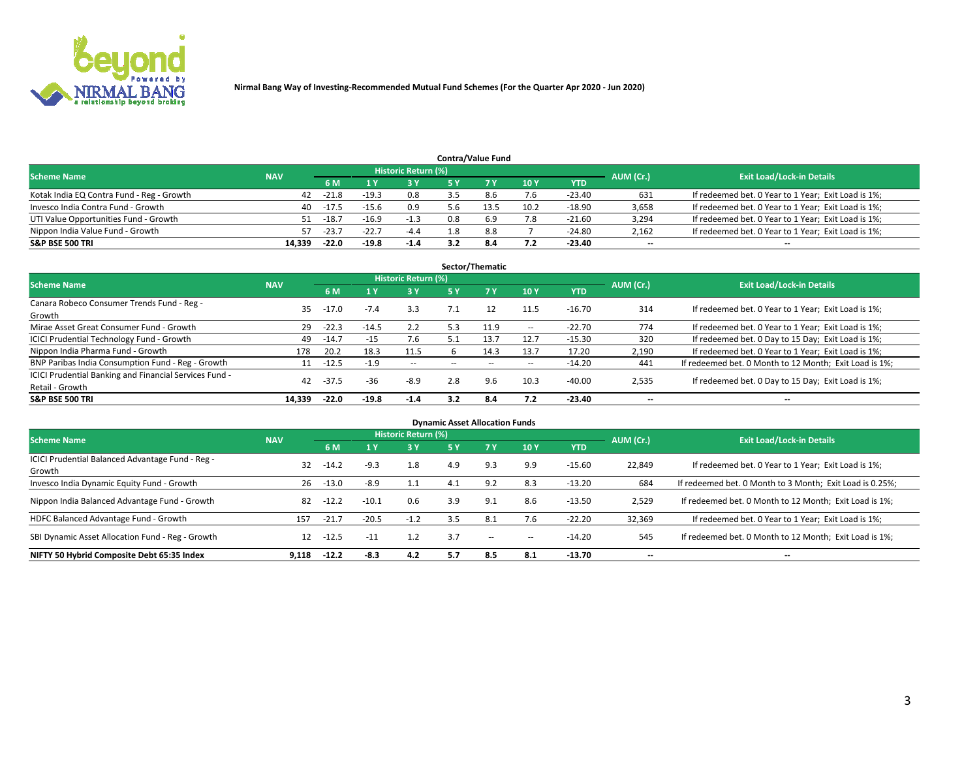

|                                           |            |                                  |         |        |     | <b>Contra/Value Fund</b> |      |            |       |                                                     |
|-------------------------------------------|------------|----------------------------------|---------|--------|-----|--------------------------|------|------------|-------|-----------------------------------------------------|
| <b>Scheme Name</b>                        | AUM (Cr.)  | <b>Exit Load/Lock-in Details</b> |         |        |     |                          |      |            |       |                                                     |
|                                           | <b>NAV</b> | 6 M                              |         | 3 Y    |     |                          | 10Y  | <b>YTD</b> |       |                                                     |
| Kotak India EQ Contra Fund - Reg - Growth | 42         | $-21.8$                          | $-19.3$ | 0.8    |     | 8.6                      | 7.6  | $-23.40$   | 631   | If redeemed bet. 0 Year to 1 Year; Exit Load is 1%; |
| Invesco India Contra Fund - Growth        | 40         | -17.5                            |         | 0.9    | b.b |                          | 10.2 | $-18.90$   | 3,658 | If redeemed bet. 0 Year to 1 Year; Exit Load is 1%; |
| UTI Value Opportunities Fund - Growth     | 51         | $-18.7$                          | $-16.9$ | $-1.3$ | 0.8 |                          | 7.8  | $-21.60$   | 3,294 | If redeemed bet. 0 Year to 1 Year; Exit Load is 1%; |
| Nippon India Value Fund - Growth          | 57         | $-23.7$                          | $-22.7$ | $-4.4$ | 1.8 | 8.8                      |      | $-24.80$   | 2,162 | If redeemed bet. 0 Year to 1 Year; Exit Load is 1%; |
| <b>S&amp;P BSE 500 TRI</b>                | 14,339     | $-22.0$                          | $-19.8$ | $-1.4$ |     | 8.4                      | 7.2  | $-23.40$   | $- -$ | $-$                                                 |

|                                                                           |            |         |         |                     |                          | Sector/Thematic |                          |          |                          |                                                        |
|---------------------------------------------------------------------------|------------|---------|---------|---------------------|--------------------------|-----------------|--------------------------|----------|--------------------------|--------------------------------------------------------|
| <b>Scheme Name</b>                                                        | <b>NAV</b> |         |         | Historic Return (%) |                          |                 |                          |          | AUM (Cr.)                | <b>Exit Load/Lock-in Details</b>                       |
|                                                                           |            | 6 M     |         | 73 Y.               | 5 Y                      | 7Y              | 10Y                      | YTD      |                          |                                                        |
| Canara Robeco Consumer Trends Fund - Reg -<br>Growth                      | 35         | $-17.0$ | $-7.4$  | 3.3                 |                          | 12              | 11.5                     | $-16.70$ | 314                      | If redeemed bet. 0 Year to 1 Year; Exit Load is 1%;    |
| Mirae Asset Great Consumer Fund - Growth                                  | 29         | $-22.3$ | $-14.5$ | 2.2                 | 5.3                      | 11.9            | $\hspace{0.05cm} \cdots$ | $-22.70$ | 774                      | If redeemed bet. 0 Year to 1 Year; Exit Load is 1%;    |
| <b>ICICI Prudential Technology Fund - Growth</b>                          | 49         | $-14.7$ | $-15$   | 7.6                 | 5.1                      | 13.7            | 12.7                     | $-15.30$ | 320                      | If redeemed bet. 0 Day to 15 Day; Exit Load is 1%;     |
| Nippon India Pharma Fund - Growth                                         | 178        | 20.2    | 18.3    | 11.5                |                          | 14.3            | 13.7                     | 17.20    | 2,190                    | If redeemed bet. 0 Year to 1 Year; Exit Load is 1%;    |
| BNP Paribas India Consumption Fund - Reg - Growth                         | 11         | $-12.5$ | $-1.9$  | $\sim$ $-$          | $\overline{\phantom{a}}$ | --              | $\hspace{0.05cm} \cdots$ | $-14.20$ | 441                      | If redeemed bet. 0 Month to 12 Month; Exit Load is 1%; |
| ICICI Prudential Banking and Financial Services Fund -<br>Retail - Growth | 42         | $-37.5$ | -36     | $-8.9$              | 2.8                      | 9.6             | 10.3                     | $-40.00$ | 2,535                    | If redeemed bet. 0 Day to 15 Day; Exit Load is 1%;     |
| <b>S&amp;P BSE 500 TRI</b>                                                | 14.339     | $-22.0$ | $-19.8$ | $-1.4$              | 3.2                      | 8.4             | 7.2                      | $-23.40$ | $\overline{\phantom{a}}$ | --                                                     |

| <b>Dynamic Asset Allocation Funds</b>                      |            |         |         |                            |     |                          |            |            |                          |                                                          |  |  |  |
|------------------------------------------------------------|------------|---------|---------|----------------------------|-----|--------------------------|------------|------------|--------------------------|----------------------------------------------------------|--|--|--|
| <b>Scheme Name</b>                                         | <b>NAV</b> |         |         | <b>Historic Return (%)</b> |     |                          |            |            | AUM (Cr.)                | <b>Exit Load/Lock-in Details</b>                         |  |  |  |
|                                                            |            | 6 M     |         | $-3Y$                      | 5 Y | <b>7Y</b>                | <b>10Y</b> | <b>YTD</b> |                          |                                                          |  |  |  |
| ICICI Prudential Balanced Advantage Fund - Reg -<br>Growth | 32         | $-14.2$ | $-9.3$  | 1.8                        | 4.9 | 9.3                      | 9.9        | $-15.60$   | 22,849                   | If redeemed bet. 0 Year to 1 Year; Exit Load is 1%;      |  |  |  |
| Invesco India Dynamic Equity Fund - Growth                 | 26         | $-13.0$ | $-8.9$  | 1.1                        | 4.1 | 9.2                      | 8.3        | $-13.20$   | 684                      | If redeemed bet. 0 Month to 3 Month; Exit Load is 0.25%; |  |  |  |
| Nippon India Balanced Advantage Fund - Growth              | 82         | $-12.2$ | $-10.1$ | 0.6                        | 3.9 | 9.1                      | 8.6        | $-13.50$   | 2,529                    | If redeemed bet. 0 Month to 12 Month; Exit Load is 1%;   |  |  |  |
| HDFC Balanced Advantage Fund - Growth                      | 157        | $-21.7$ | $-20.5$ | $-1.2$                     | 3.5 | 8.1                      | 7.6        | $-22.20$   | 32,369                   | If redeemed bet. 0 Year to 1 Year; Exit Load is 1%;      |  |  |  |
| SBI Dynamic Asset Allocation Fund - Reg - Growth           | 12         | $-12.5$ | $-11$   |                            | 3.7 | $\overline{\phantom{a}}$ | --         | $-14.20$   | 545                      | If redeemed bet. 0 Month to 12 Month; Exit Load is 1%;   |  |  |  |
| NIFTY 50 Hybrid Composite Debt 65:35 Index                 | 9,118      | $-12.2$ | $-8.3$  | 4.2                        | 5.7 | 8.5                      | 8.1        | $-13.70$   | $\overline{\phantom{a}}$ | --                                                       |  |  |  |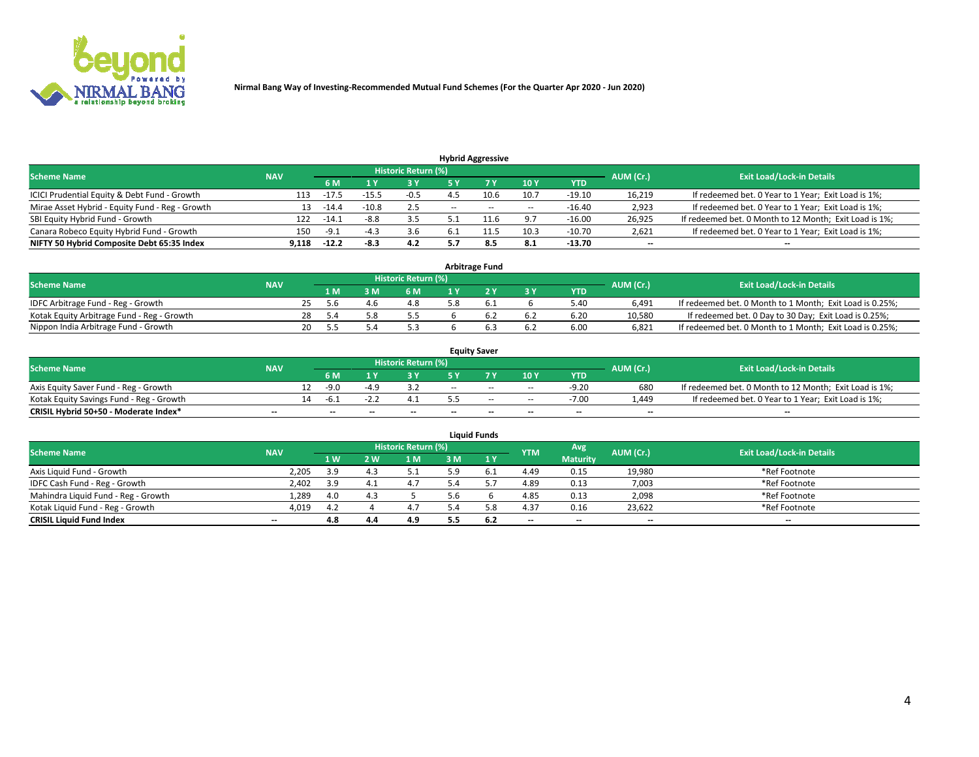

|                                                 |            |         |         |                            |       | <b>Hybrid Aggressive</b> |                          |          |                          |                                                        |
|-------------------------------------------------|------------|---------|---------|----------------------------|-------|--------------------------|--------------------------|----------|--------------------------|--------------------------------------------------------|
| <b>Scheme Name</b>                              | <b>NAV</b> |         |         | <b>Historic Return (%)</b> |       |                          |                          |          | AUM (Cr.)                | <b>Exit Load/Lock-in Details</b>                       |
|                                                 |            | 6 M     |         | 73 Y                       |       |                          | 10Y                      | YTD      |                          |                                                        |
| ICICI Prudential Equity & Debt Fund - Growth    | 113        | $-17.$  |         | $-0.5$                     |       | 10.6                     | 10.7                     | $-19.10$ | 16,219                   | If redeemed bet. 0 Year to 1 Year; Exit Load is 1%;    |
| Mirae Asset Hybrid - Equity Fund - Reg - Growth | 13         | $-14.4$ | $-10.8$ | 2.5                        | $- -$ | $\sim$                   | $\overline{\phantom{a}}$ | $-16.40$ | 2,923                    | If redeemed bet. 0 Year to 1 Year; Exit Load is 1%;    |
| SBI Equity Hybrid Fund - Growth                 | 122        | $-14.7$ | $-8.8$  | 3.5                        |       |                          | 9.7                      | $-16.00$ | 26,925                   | If redeemed bet. 0 Month to 12 Month; Exit Load is 1%; |
| Canara Robeco Equity Hybrid Fund - Growth       | 150        | د.9-    |         | 3.6                        |       |                          | 10.3                     | $-10.70$ | 2,621                    | If redeemed bet. 0 Year to 1 Year; Exit Load is 1%;    |
| NIFTY 50 Hybrid Composite Debt 65:35 Index      | 9.118      | $-12.2$ | -8.3    | 4.2                        |       | 8.5                      | 8.1                      | $-13.70$ | $\overline{\phantom{a}}$ | --                                                     |

| <b>Arbitrage Fund</b>                      |            |    |       |  |                     |  |  |     |            |           |                                                          |  |  |
|--------------------------------------------|------------|----|-------|--|---------------------|--|--|-----|------------|-----------|----------------------------------------------------------|--|--|
| <b>Scheme Name</b>                         | <b>NAV</b> |    |       |  | Historic Return (%) |  |  |     |            | AUM (Cr.) | <b>Exit Load/Lock-in Details</b>                         |  |  |
|                                            |            |    | 1 M   |  | 6 M                 |  |  | 3 Y | <b>YTD</b> |           |                                                          |  |  |
| IDFC Arbitrage Fund - Reg - Growth         |            |    | 5 h   |  | 4.8                 |  |  |     | 5.40       | 6.491     | If redeemed bet. 0 Month to 1 Month; Exit Load is 0.25%; |  |  |
| Kotak Equity Arbitrage Fund - Reg - Growth |            | 28 | - 5.4 |  | 5.5                 |  |  | 6.2 | 6.20       | 10.580    | If redeemed bet. 0 Day to 30 Day; Exit Load is 0.25%;    |  |  |
| Nippon India Arbitrage Fund - Growth       |            | 20 |       |  | 5.3                 |  |  | 6.2 | 6.00       | 6.821     | If redeemed bet. 0 Month to 1 Month; Exit Load is 0.25%; |  |  |

| <b>Equity Saver</b>                      |            |    |                          |                          |                     |        |       |                          |                          |           |                                                        |  |  |  |
|------------------------------------------|------------|----|--------------------------|--------------------------|---------------------|--------|-------|--------------------------|--------------------------|-----------|--------------------------------------------------------|--|--|--|
| <b>Scheme Name</b>                       | <b>NAV</b> |    |                          |                          | Historic Return (%) |        |       |                          |                          | AUM (Cr.) | <b>Exit Load/Lock-in Details</b>                       |  |  |  |
|                                          |            |    | 6 M                      |                          |                     | E V    |       | 10Y                      | <b>YTD</b>               |           |                                                        |  |  |  |
| Axis Equity Saver Fund - Reg - Growth    |            |    | -9.0                     |                          |                     | $-$    | $- -$ | $\overline{\phantom{a}}$ | $-9.20$                  | 680       | If redeemed bet. 0 Month to 12 Month; Exit Load is 1%; |  |  |  |
| Kotak Equity Savings Fund - Reg - Growth |            | 14 | -h.                      |                          |                     |        | $-$   | $\sim$                   | $-7.00$                  | 1.449     | If redeemed bet. 0 Year to 1 Year; Exit Load is 1%;    |  |  |  |
| CRISIL Hybrid 50+50 - Moderate Index*    | $- -$      |    | $\overline{\phantom{a}}$ | $\overline{\phantom{a}}$ | $- -$               | $\sim$ | $- -$ | $\overline{\phantom{a}}$ | $\overline{\phantom{a}}$ | $- -$     | --                                                     |  |  |  |

| <b>Liquid Funds</b>                 |            |     |     |                            |     |       |            |                          |           |                                  |  |  |  |  |
|-------------------------------------|------------|-----|-----|----------------------------|-----|-------|------------|--------------------------|-----------|----------------------------------|--|--|--|--|
| <b>Scheme Name</b>                  | <b>NAV</b> |     |     | <b>Historic Return (%)</b> |     |       | <b>YTM</b> | Avg                      | AUM (Cr.) | <b>Exit Load/Lock-in Details</b> |  |  |  |  |
|                                     |            | 1 W | 2 W | 1 M                        | 3 M | 1Y    |            | <b>Maturity</b>          |           |                                  |  |  |  |  |
| Axis Liquid Fund - Growth           | 2.205      | 3.9 |     | 5.1                        | 5.9 | . b.i | 4.49       | 0.15                     | 19,980    | *Ref Footnote                    |  |  |  |  |
| IDFC Cash Fund - Reg - Growth       | 2.402      | 3.9 |     | 4.7                        |     |       | 4.89       | 0.13                     | 7,003     | *Ref Footnote                    |  |  |  |  |
| Mahindra Liquid Fund - Reg - Growth | 1,289      | 4.0 |     |                            | 5.6 |       | 4.85       | 0.13                     | 2,098     | *Ref Footnote                    |  |  |  |  |
| Kotak Liquid Fund - Reg - Growth    | 4,019      | 4.2 |     | 4.7                        | 5.4 | 58    | 4.37       | 0.16                     | 23,622    | *Ref Footnote                    |  |  |  |  |
| <b>CRISIL Liquid Fund Index</b>     | $- -$      | 4.8 | 4.4 | 4.9                        | 5.5 | 6.Z   | $- -$      | $\overline{\phantom{a}}$ | $- -$     | $-$                              |  |  |  |  |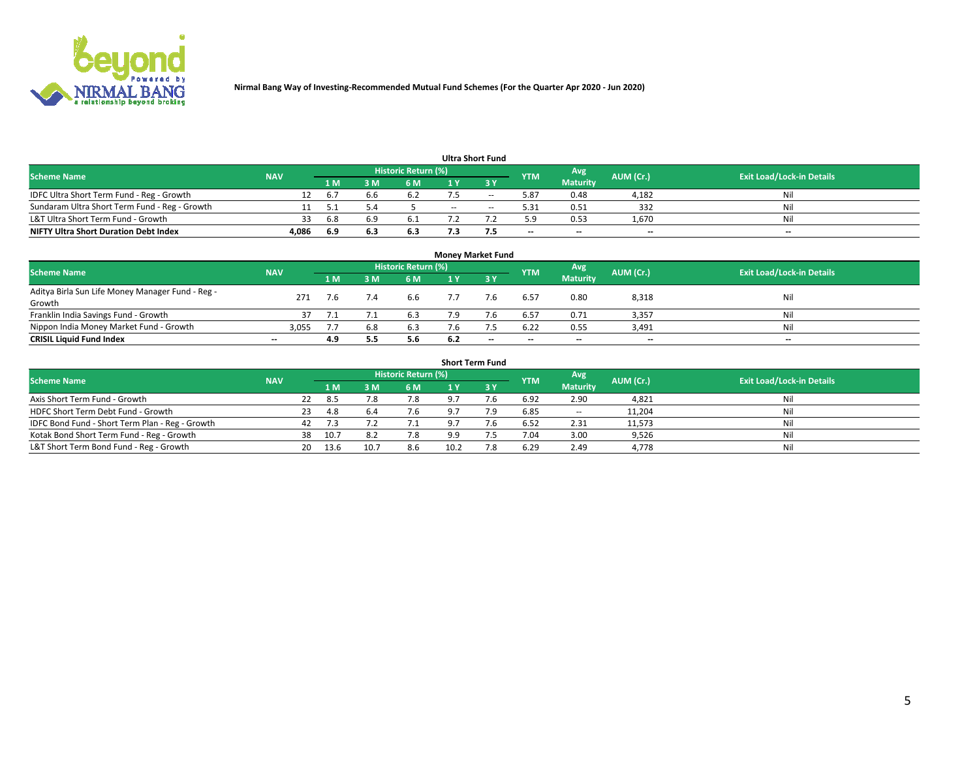

| <b>Ultra Short Fund</b>                       |            |       |     |                     |       |                          |            |                 |           |                                  |  |  |  |  |
|-----------------------------------------------|------------|-------|-----|---------------------|-------|--------------------------|------------|-----------------|-----------|----------------------------------|--|--|--|--|
| Scheme Name                                   | <b>NAV</b> |       |     | Historic Return (%) |       |                          | <b>YTM</b> | Avg             | AUM (Cr.) | <b>Exit Load/Lock-in Details</b> |  |  |  |  |
|                                               |            | 1 M I |     | 6 M                 |       |                          |            | <b>Maturity</b> |           |                                  |  |  |  |  |
| IDFC Ultra Short Term Fund - Reg - Growth     | 12         | 6.7   |     | 6.2                 |       | $\overline{\phantom{m}}$ | 5.87       | 0.48            | 4,182     | Nil                              |  |  |  |  |
| Sundaram Ultra Short Term Fund - Reg - Growth |            |       |     |                     | $- -$ | $\sim$                   | 5.31       | 0.51            | 332       | Nil                              |  |  |  |  |
| L&T Ultra Short Term Fund - Growth            | 33         | 6.8   |     | 6.1                 |       |                          | 5.9        | 0.53            | 1,670     | Nil                              |  |  |  |  |
| <b>NIFTY Ultra Short Duration Debt Index</b>  | 4.086      | 6.9   | o.s | 6.3                 |       |                          | $- -$      | $-$             | $- -$     | $- -$                            |  |  |  |  |

| <b>Money Market Fund</b>                         |            |     |     |                            |     |     |                          |                 |           |                                  |  |  |  |  |
|--------------------------------------------------|------------|-----|-----|----------------------------|-----|-----|--------------------------|-----------------|-----------|----------------------------------|--|--|--|--|
| <b>Scheme Name</b>                               | <b>NAV</b> |     |     | <b>Historic Return (%)</b> |     |     | <b>YTM</b>               | Avg             | AUM (Cr.) | <b>Exit Load/Lock-in Details</b> |  |  |  |  |
|                                                  |            | 1 M | ١M  | 6 M                        |     | 3 Y |                          | <b>Maturity</b> |           |                                  |  |  |  |  |
| Aditya Birla Sun Life Money Manager Fund - Reg - | 271        |     |     | 6.6                        |     | 7.6 | 6.57                     | 0.80            | 8,318     | Nil                              |  |  |  |  |
| Growth                                           |            |     |     |                            |     |     |                          |                 |           |                                  |  |  |  |  |
| Franklin India Savings Fund - Growth             |            |     |     | 6.3                        |     |     | 6.57                     | 0.71            | 3,357     | Nil                              |  |  |  |  |
| Nippon India Money Market Fund - Growth          | 3,055      |     | 6.8 | 6.3                        |     |     | 6.22                     | 0.55            | 3,491     | Nil                              |  |  |  |  |
| <b>CRISIL Liquid Fund Index</b>                  | $- -$      | 4.9 |     | 5.6                        | 6.2 | $-$ | $\overline{\phantom{a}}$ | $- -$           | $- -$     | $-$                              |  |  |  |  |

| <b>Short Term Fund</b>                          |            |    |       |      |                            |      |      |            |                          |           |                                  |  |  |  |
|-------------------------------------------------|------------|----|-------|------|----------------------------|------|------|------------|--------------------------|-----------|----------------------------------|--|--|--|
| <b>Scheme Name</b>                              | <b>NAV</b> |    |       |      | <b>Historic Return (%)</b> |      |      | <b>YTM</b> | Avg                      | AUM (Cr.) | <b>Exit Load/Lock-in Details</b> |  |  |  |
|                                                 |            |    | 1 M   | 3 M  | 6 M                        | 1 Y  | Z3 V |            | <b>Maturity</b>          |           |                                  |  |  |  |
| Axis Short Term Fund - Growth                   |            | 22 | - 8.5 | 7.8  | 7.8                        |      | 7.6  | 6.92       | 2.90                     | 4,821     | Nil                              |  |  |  |
| HDFC Short Term Debt Fund - Growth              |            | 23 | 4.8   | 6.4  | 7.6                        |      | 7.9  | 6.85       | $\overline{\phantom{a}}$ | 11,204    | Nil                              |  |  |  |
| IDFC Bond Fund - Short Term Plan - Reg - Growth |            | 42 | 7.3   |      | 7.1                        |      | 7.6  | 6.52       | 2.31                     | 11,573    | Nil                              |  |  |  |
| Kotak Bond Short Term Fund - Reg - Growth       |            | 38 | 10.7  | 8.2  | 7.8                        | a a  |      | 7.04       | 3.00                     | 9,526     | Nil                              |  |  |  |
| L&T Short Term Bond Fund - Reg - Growth         |            | 20 | 13.6  | 10.7 | 8.6                        | 10.2 | 7.8  | 6.29       | 2.49                     | 4,778     | Nil                              |  |  |  |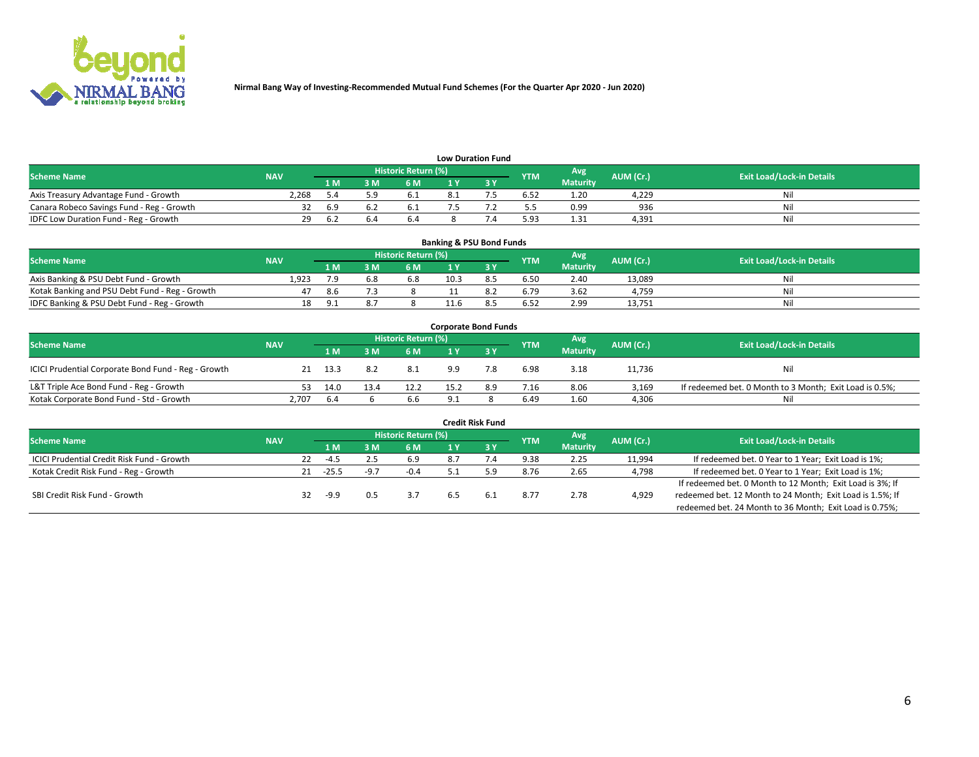

| <b>Low Duration Fund</b>                  |            |      |     |                      |  |  |            |                 |           |                                  |  |  |  |  |
|-------------------------------------------|------------|------|-----|----------------------|--|--|------------|-----------------|-----------|----------------------------------|--|--|--|--|
| <b>Scheme Name</b>                        | <b>NAV</b> |      |     | Historic Return (%)' |  |  | <b>YTM</b> | Avg             | AUM (Cr.) | <b>Exit Load/Lock-in Details</b> |  |  |  |  |
|                                           |            | '1 M | : M | 6 M                  |  |  |            | <b>Maturity</b> |           |                                  |  |  |  |  |
| Axis Treasury Advantage Fund - Growth     | 2,268      |      |     | ד∙ם                  |  |  | 6.52       | 1.20            | 4.229     | Nil                              |  |  |  |  |
| Canara Robeco Savings Fund - Reg - Growth |            | 6.5  |     | 0.1                  |  |  |            | 0.99            | 936       | Nil                              |  |  |  |  |
| IDFC Low Duration Fund - Reg - Growth     | 29         | 6.2  |     | 6.4                  |  |  | 5.93       | 1.31            | 4,391     | Nil                              |  |  |  |  |

| <b>Banking &amp; PSU Bond Funds</b>            |            |       |     |                            |      |  |            |                 |           |                                  |  |  |  |  |
|------------------------------------------------|------------|-------|-----|----------------------------|------|--|------------|-----------------|-----------|----------------------------------|--|--|--|--|
| <b>Scheme Name</b>                             | <b>NAV</b> |       |     | <b>Historic Return (%)</b> |      |  | <b>YTM</b> | Avg             | AUM (Cr.) | <b>Exit Load/Lock-in Details</b> |  |  |  |  |
|                                                |            | 1 M   | R M | 6 M                        |      |  |            | <b>Maturity</b> |           |                                  |  |  |  |  |
| Axis Banking & PSU Debt Fund - Growth          | 1.923      | 7.9   | 6.8 | 6.8                        | 10.3 |  | 6.50       | 2.40            | 13.089    | Nil                              |  |  |  |  |
| Kotak Banking and PSU Debt Fund - Reg - Growth | 47         | -8.6  |     |                            |      |  | 6.79       | 3.62            | 4.759     | Nil                              |  |  |  |  |
| IDFC Banking & PSU Debt Fund - Reg - Growth    | 18         | - Q 1 | ð., |                            |      |  | 6.52       | 2.99            | 13,751    | Nil                              |  |  |  |  |

| <b>Corporate Bond Funds</b>                         |            |      |      |                     |      |     |            |                 |           |                                                         |  |  |  |  |
|-----------------------------------------------------|------------|------|------|---------------------|------|-----|------------|-----------------|-----------|---------------------------------------------------------|--|--|--|--|
| <b>Scheme Name</b>                                  | <b>NAV</b> |      |      | Historic Return (%) |      |     | <b>YTM</b> | Avg             | AUM (Cr.) | <b>Exit Load/Lock-in Details</b>                        |  |  |  |  |
|                                                     |            | 1 M. | 3 M  | 6 M                 |      |     |            | <b>Maturity</b> |           |                                                         |  |  |  |  |
| ICICI Prudential Corporate Bond Fund - Reg - Growth | 21         | 13.3 | 8.2  | 8.1                 | 9.9  | 7.8 | 6.98       | 3.18            | 11,736    | Nil                                                     |  |  |  |  |
| L&T Triple Ace Bond Fund - Reg - Growth             | 53.        | 14.0 | 13.4 | 12.2                | 15.2 | 8.9 | 7.16       | 8.06            | 3.169     | If redeemed bet. 0 Month to 3 Month; Exit Load is 0.5%; |  |  |  |  |
| Kotak Corporate Bond Fund - Std - Growth            | 2,707      | -6.4 |      | 6.6                 | 9.1  |     | 6.49       | 1.60            | 4,306     | Nil                                                     |  |  |  |  |

|                                                   |            |    |         |                     |     | <b>Credit Risk Fund</b> |            |                 |           |                                                           |
|---------------------------------------------------|------------|----|---------|---------------------|-----|-------------------------|------------|-----------------|-----------|-----------------------------------------------------------|
| <b>Scheme Name</b>                                | <b>NAV</b> |    |         | Historic Return (%) |     |                         | <b>YTM</b> | Avg             | AUM (Cr.) | <b>Exit Load/Lock-in Details</b>                          |
|                                                   |            |    | 1 M.    | <b>6M</b>           |     | -3 Y                    |            | <b>Maturity</b> |           |                                                           |
| <b>ICICI Prudential Credit Risk Fund - Growth</b> |            | 22 | -4.5    | 6.9                 | 8.7 |                         | 9.38       | 2.25            | 11,994    | If redeemed bet. 0 Year to 1 Year; Exit Load is 1%;       |
| Kotak Credit Risk Fund - Reg - Growth             |            |    | $-25.5$ | $-0.4$              |     |                         | 8.76       | 2.65            | 4,798     | If redeemed bet. 0 Year to 1 Year; Exit Load is 1%;       |
|                                                   |            |    |         |                     |     |                         |            |                 |           | If redeemed bet. 0 Month to 12 Month; Exit Load is 3%; If |
| SBI Credit Risk Fund - Growth                     |            | 32 | $-9.9$  | 3.7                 | 6.5 | 6.1                     | 8.77       | 2.78            | 4,929     | redeemed bet. 12 Month to 24 Month; Exit Load is 1.5%; If |
|                                                   |            |    |         |                     |     |                         |            |                 |           | redeemed bet. 24 Month to 36 Month; Exit Load is 0.75%;   |